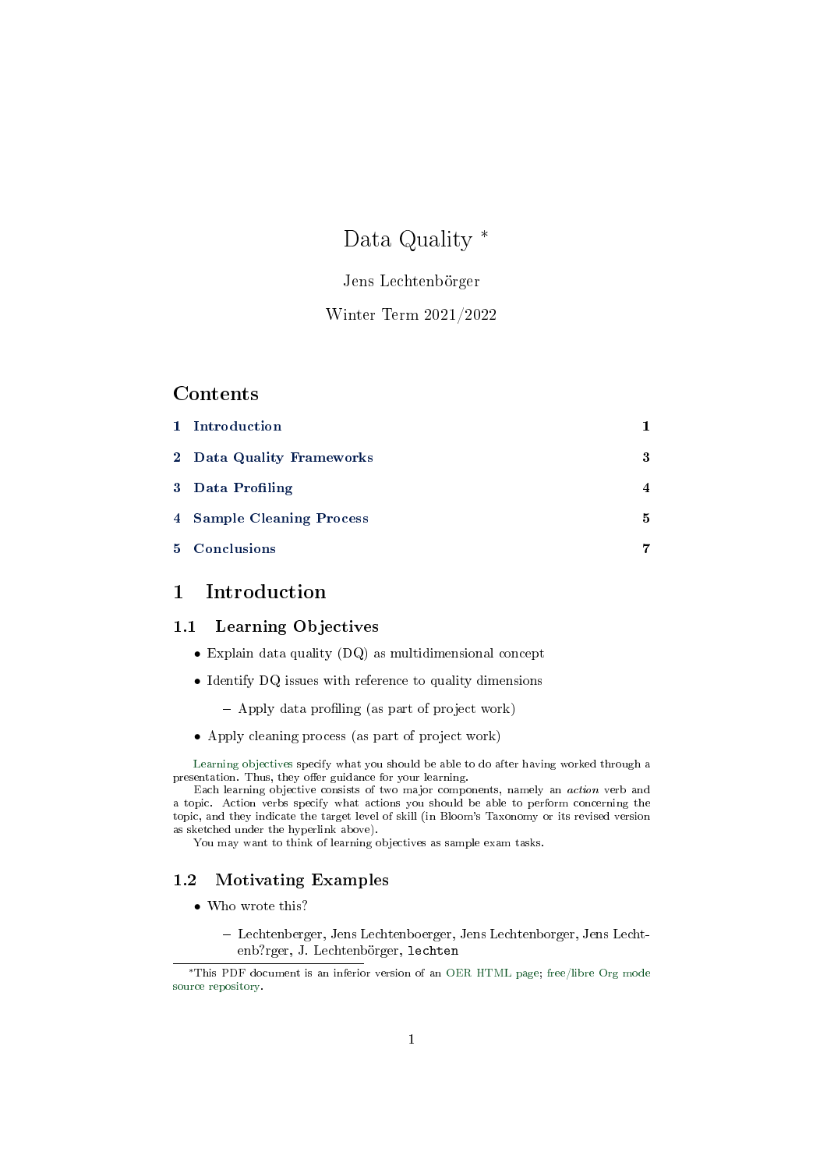# Data Quality <sup>∗</sup>

### Jens Lechtenbörger

# Winter Term 2021/2022

### Contents

| 1 Introduction            |                         |
|---------------------------|-------------------------|
| 2 Data Quality Frameworks | 3                       |
| 3 Data Profiling          | $\overline{\mathbf{4}}$ |
| 4 Sample Cleaning Process | 5                       |
| 5 Conclusions             | 7                       |

# <span id="page-0-0"></span>1 Introduction

### 1.1 Learning Objectives

- Explain data quality (DQ) as multidimensional concept
- Identify DQ issues with reference to quality dimensions
	- $-$  Apply data profiling (as part of project work)
- Apply cleaning process (as part of project work)

[Learning objectives](https://cft.vanderbilt.edu/guides-sub-pages/blooms-taxonomy/) specify what you should be able to do after having worked through a presentation. Thus, they offer guidance for your learning.

Each learning objective consists of two major components, namely an action verb and a topic. Action verbs specify what actions you should be able to perform concerning the topic, and they indicate the target level of skill (in Bloom's Taxonomy or its revised version as sketched under the hyperlink above).

You may want to think of learning objectives as sample exam tasks.

### <span id="page-0-1"></span>1.2 Motivating Examples

- Who wrote this?
	- Lechtenberger, Jens Lechtenboerger, Jens Lechtenborger, Jens Lechtenb?rger, J. Lechtenbörger, lechten

<sup>∗</sup>This PDF document is an inferior version of an [OER HTML page;](https://oer.gitlab.io/misc/Data-Quality.html) [free/libre Org mode](https://gitlab.com/oer/misc) [source repository.](https://gitlab.com/oer/misc)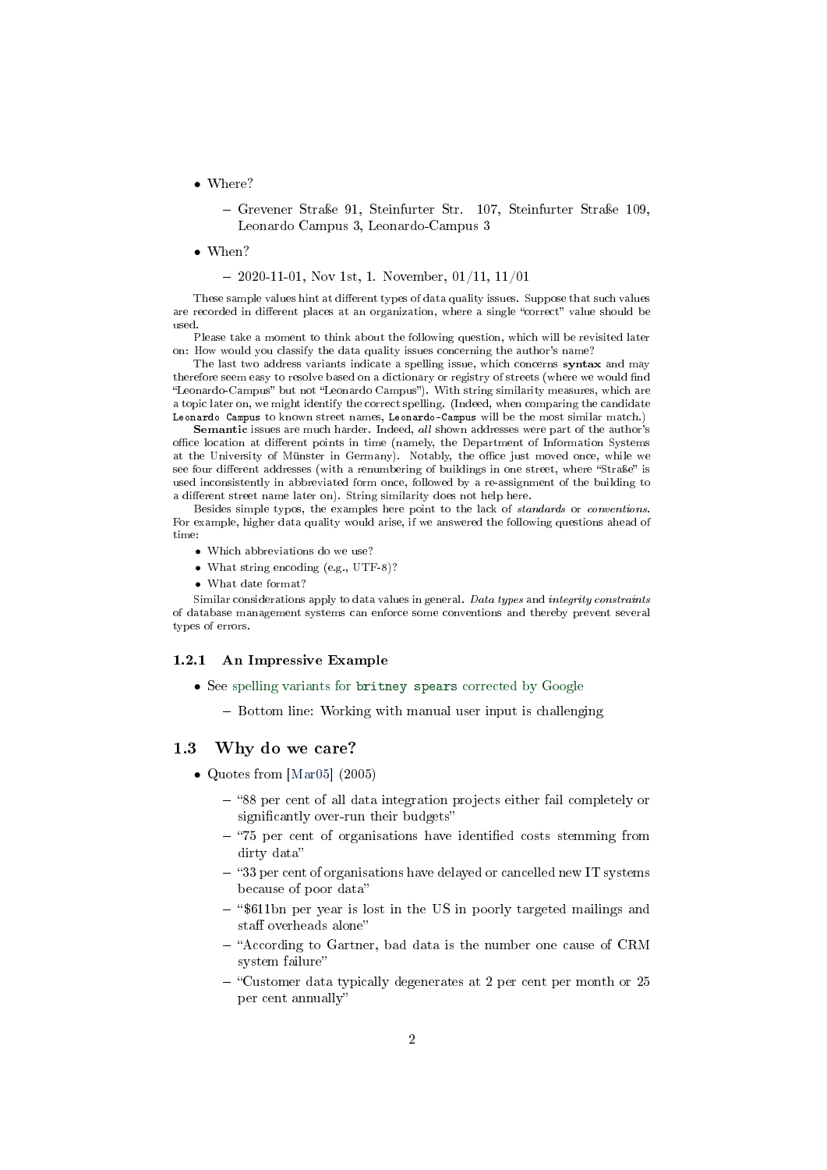• Where?

 Grevener Straÿe 91, Steinfurter Str. 107, Steinfurter Straÿe 109, Leonardo Campus 3, Leonardo-Campus 3

• When?

 $-2020-11-01$ , Nov 1st, 1. November, 01/11, 11/01

These sample values hint at different types of data quality issues. Suppose that such values are recorded in different places at an organization, where a single "correct" value should be used.

Please take a moment to think about the following question, which will be revisited later on: How would you classify the data quality issues concerning the author's name?

The last two address variants indicate a spelling issue, which concerns syntax and may therefore seem easy to resolve based on a dictionary or registry of streets (where we would find "Leonardo-Campus" but not "Leonardo Campus"). With string similarity measures, which are a topic later on, we might identify the correct spelling. (Indeed, when comparing the candidate Leonardo Campus to known street names, Leonardo-Campus will be the most similar match.)

Semantic issues are much harder. Indeed, all shown addresses were part of the author's office location at different points in time (namely, the Department of Information Systems at the University of Münster in Germany). Notably, the office just moved once, while we see four different addresses (with a renumbering of buildings in one street, where "Straße" is used inconsistently in abbreviated form once, followed by a re-assignment of the building to a different street name later on). String similarity does not help here.

Besides simple typos, the examples here point to the lack of standards or conventions. For example, higher data quality would arise, if we answered the following questions ahead of time:

- Which abbreviations do we use?
- What string encoding (e.g., UTF-8)?
- What date format?

Similar considerations apply to data values in general. Data types and integrity constraints of database management systems can enforce some conventions and thereby prevent several types of errors.

#### 1.2.1 An Impressive Example

- See spelling variants for britney spears [corrected by Google](https://archive.google.com/jobs/britney.html)
	- Bottom line: Working with manual user input is challenging

#### 1.3 Why do we care?

- Quotes from [\[Mar05\]](#page-7-0) (2005)
	- 88 per cent of all data integration projects either fail completely or significantly over-run their budgets"
	- $-$  "75 per cent of organisations have identified costs stemming from dirty data
	- $-$  "33 per cent of organisations have delayed or cancelled new IT systems because of poor data
	- $-$  "\$611bn per year is lost in the US in poorly targeted mailings and staff overheads alone"
	- "According to Gartner, bad data is the number one cause of CRM system failure
	- Customer data typically degenerates at 2 per cent per month or 25 per cent annually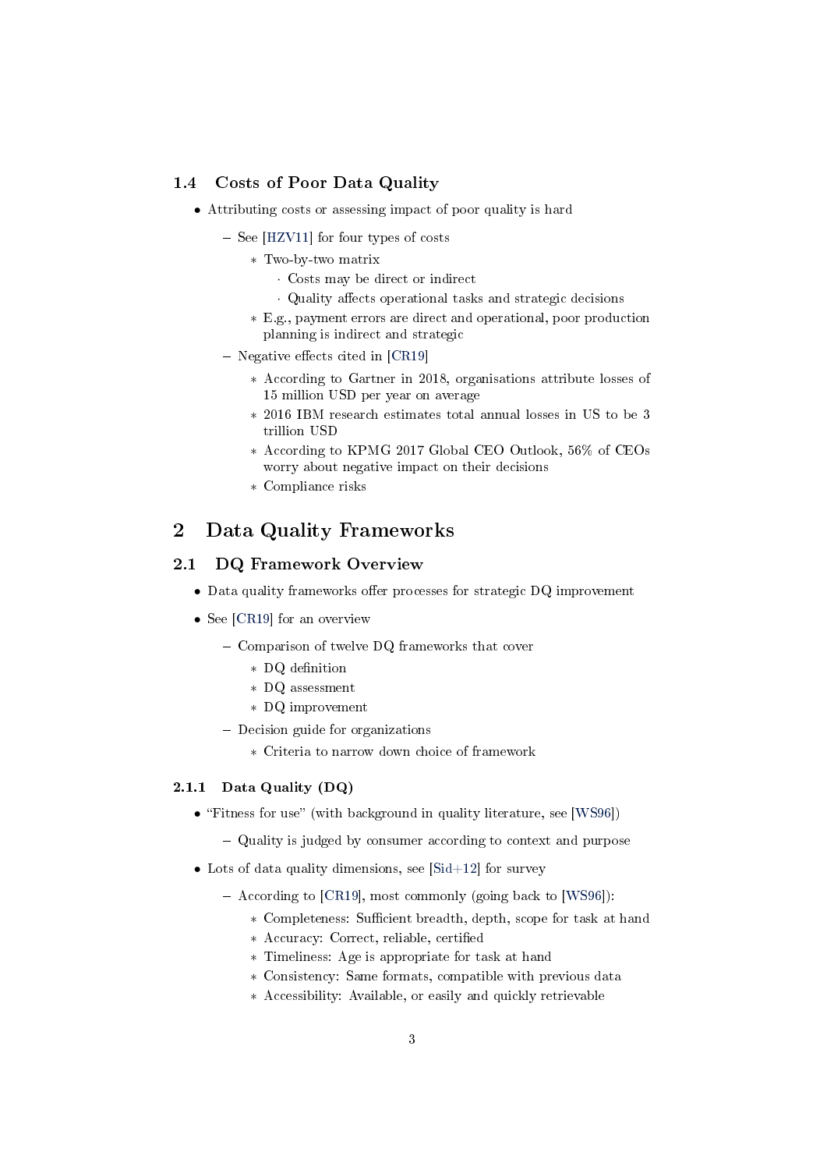### 1.4 Costs of Poor Data Quality

- Attributing costs or assessing impact of poor quality is hard
	- $-$  See [\[HZV11\]](#page-7-1) for four types of costs
		- ∗ Two-by-two matrix
			- · Costs may be direct or indirect
			- Quality affects operational tasks and strategic decisions
		- ∗ E.g., payment errors are direct and operational, poor production planning is indirect and strategic
	- $-$  Negative effects cited in [\[CR19\]](#page-7-2)
		- ∗ According to Gartner in 2018, organisations attribute losses of 15 million USD per year on average
		- ∗ 2016 IBM research estimates total annual losses in US to be 3 trillion USD
		- ∗ According to KPMG 2017 Global CEO Outlook, 56% of CEOs worry about negative impact on their decisions
		- ∗ Compliance risks

# <span id="page-2-0"></span>2 Data Quality Frameworks

#### 2.1 DQ Framework Overview

- $\bullet$  Data quality frameworks offer processes for strategic DQ improvement
- See [\[CR19\]](#page-7-2) for an overview
	- Comparison of twelve DQ frameworks that cover
		- ∗ DQ denition
		- ∗ DQ assessment
		- ∗ DQ improvement
	- Decision guide for organizations
		- ∗ Criteria to narrow down choice of framework

### 2.1.1 Data Quality (DQ)

- "Fitness for use" (with background in quality literature, see [\[WS96\]](#page-7-3))
	- Quality is judged by consumer according to context and purpose
- Lots of data quality dimensions, see [\[Sid+12\]](#page-7-4) for survey
	- $-$  According to [\[CR19\]](#page-7-2), most commonly (going back to [\[WS96\]](#page-7-3)):
		- ∗ Completeness: Sucient breadth, depth, scope for task at hand
		- ∗ Accuracy: Correct, reliable, certied
		- ∗ Timeliness: Age is appropriate for task at hand
		- ∗ Consistency: Same formats, compatible with previous data
		- ∗ Accessibility: Available, or easily and quickly retrievable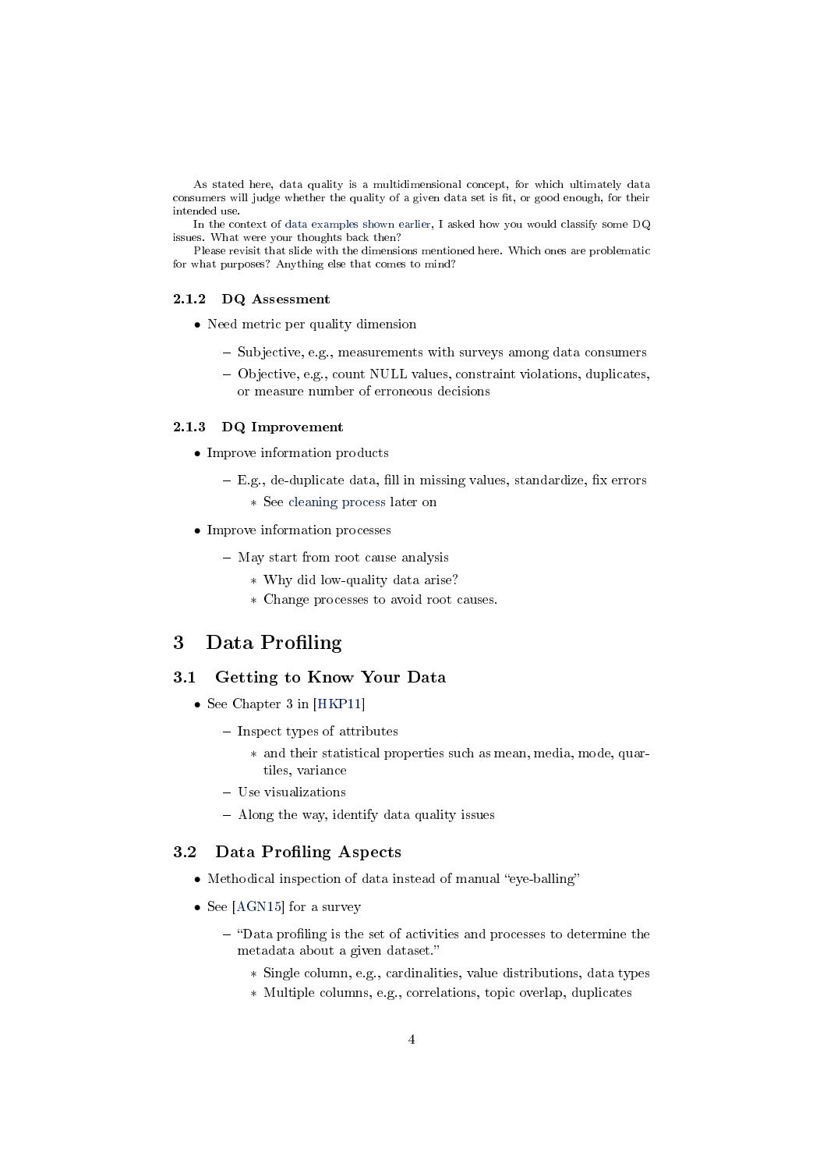As stated here, data quality is a multidimensional concept, for which ultimately data consumers will judge whether the quality of a given data set is fit, or good enough, for their intended use.

In the context of [data examples shown earlier,](#page-0-1) I asked how you would classify some DQ issues. What were your thoughts back then?

Please revisit that slide with the dimensions mentioned here. Which ones are problematic for what purposes? Anything else that comes to mind?

#### 2.1.2 DQ Assessment

- Need metric per quality dimension
	- Subjective, e.g., measurements with surveys among data consumers
	- Objective, e.g., count NULL values, constraint violations, duplicates, or measure number of erroneous decisions

#### 2.1.3 DQ Improvement

- Improve information products
	- $-E.g.,$  de-duplicate data, fill in missing values, standardize, fix errors
		- ∗ See [cleaning process](#page-4-0) later on
- Improve information processes
	- May start from root cause analysis
		- ∗ Why did low-quality data arise?
		- ∗ Change processes to avoid root causes.

# <span id="page-3-0"></span>3 Data Profiling

#### 3.1 Getting to Know Your Data

- See Chapter 3 in [\[HKP11\]](#page-7-5)
	- $-$  Inspect types of attributes
		- ∗ and their statistical properties such as mean, media, mode, quartiles, variance
	- Use visualizations
	- $-$  Along the way, identify data quality issues

### 3.2 Data Profiling Aspects

- $\bullet$  Methodical inspection of data instead of manual "eye-balling"
- See [\[AGN15\]](#page-7-6) for a survey
	- $-$  "Data profiling is the set of activities and processes to determine the metadata about a given dataset.
		- ∗ Single column, e.g., cardinalities, value distributions, data types
		- ∗ Multiple columns, e.g., correlations, topic overlap, duplicates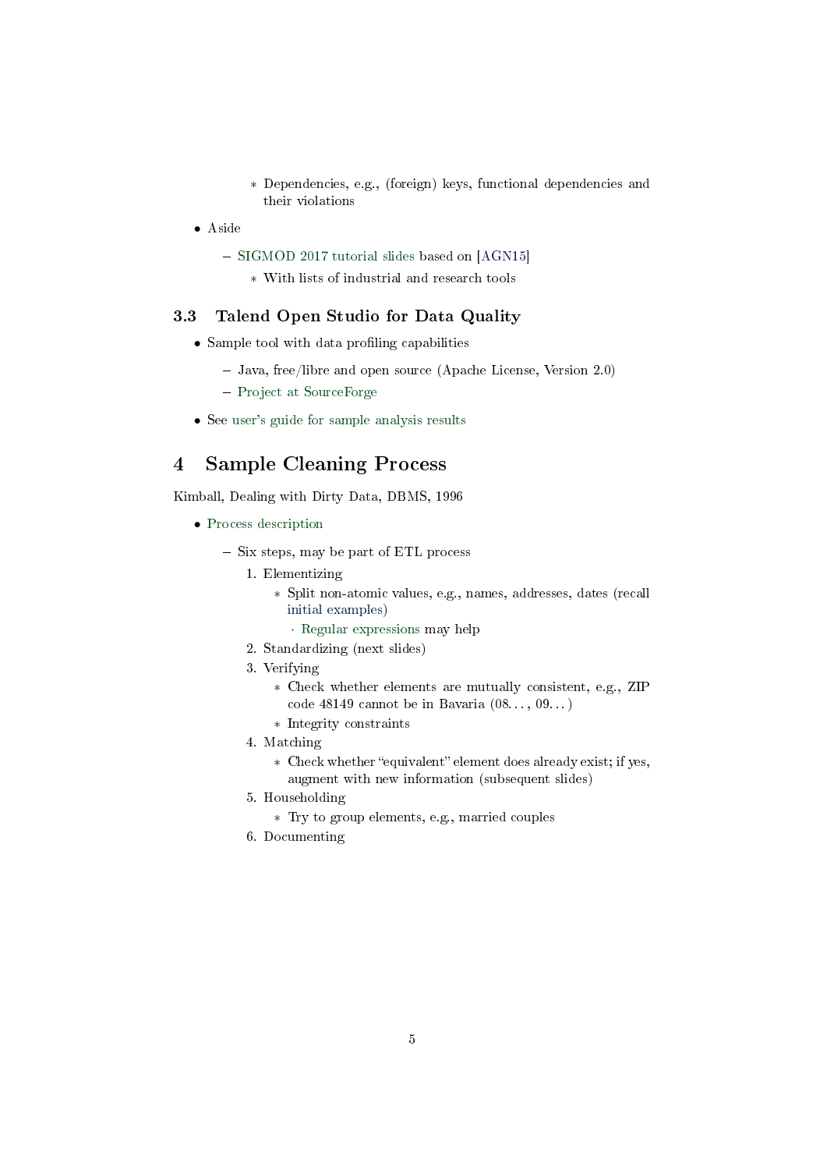- ∗ Dependencies, e.g., (foreign) keys, functional dependencies and their violations
- Aside
	- [SIGMOD 2017 tutorial slides](https://hpi.de/fileadmin/user_upload/fachgebiete/naumann/publications/2017/SIGMOD_2017_Tutorial_Data_Profiling.pdf) based on [\[AGN15\]](#page-7-6)
		- ∗ With lists of industrial and research tools

### 3.3 Talend Open Studio for Data Quality

- $\bullet$  Sample tool with data profiling capabilities
	- Java, free/libre and open source (Apache License, Version 2.0)
	- [Project at SourceForge](https://sourceforge.net/projects/talendprofiler/)
- See [user's guide for sample analysis results](https://help.talend.com/reader/8taYQkblNoWRWJGmRtNq3g/iLaueZ1rs~0HidfQUN1sOQ)

# <span id="page-4-0"></span>4 Sample Cleaning Process

Kimball, Dealing with Dirty Data, DBMS, 1996

- [Process description](https://web.archive.org/web/19990209061653/http://www.dbmsmag.com/9609d14.html)
	- Six steps, may be part of ETL process
		- 1. Elementizing
			- ∗ Split non-atomic values, e.g., names, addresses, dates (recall [initial examples\)](#page-0-1)
				- · [Regular expressions](https://oer.gitlab.io/misc/Regular-Expressions.html) may help
		- 2. Standardizing (next slides)
		- 3. Verifying
			- ∗ Check whether elements are mutually consistent, e.g., ZIP code 48149 cannot be in Bavaria (08. . . , 09. . . )
			- ∗ Integrity constraints
		- 4. Matching
			- \* Check whether "equivalent" element does already exist; if yes, augment with new information (subsequent slides)
		- 5. Householding
			- ∗ Try to group elements, e.g., married couples
		- 6. Documenting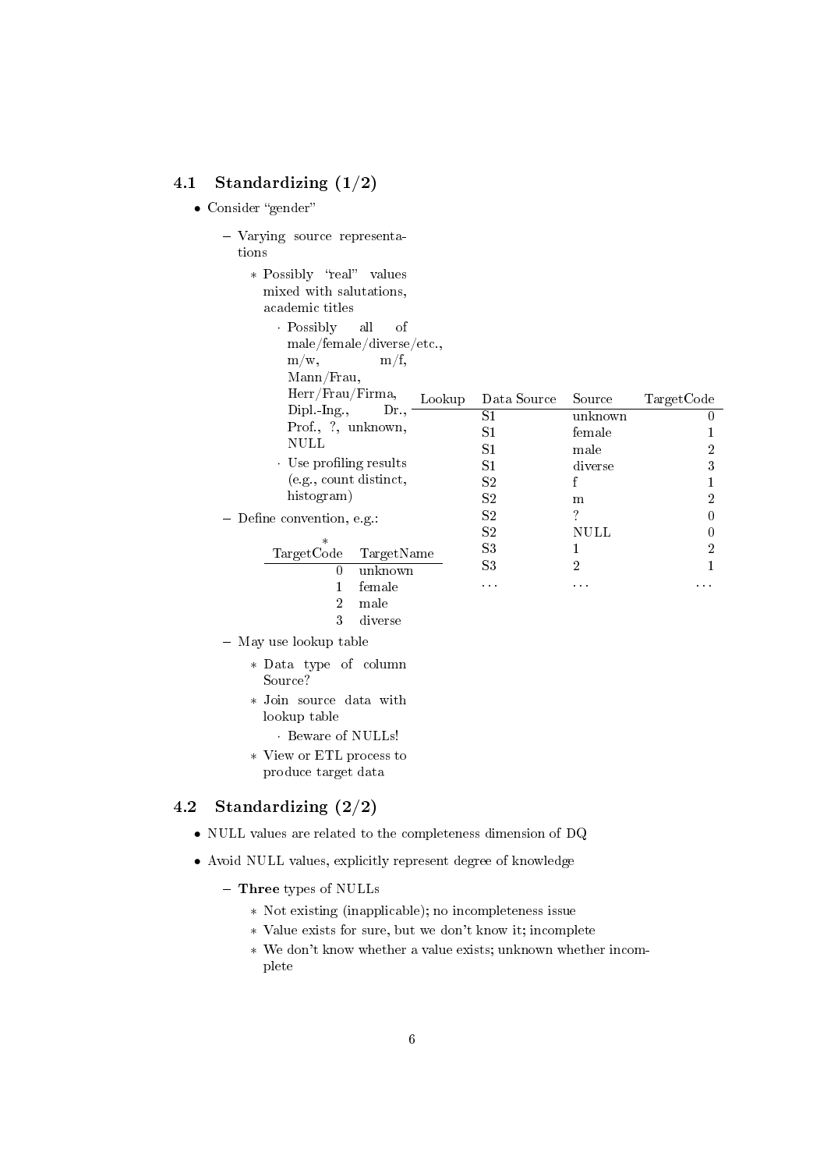## 4.1 Standardizing (1/2)

• Consider "gender"

|       | - Varying source representa- |
|-------|------------------------------|
| tions |                              |

- ∗ Possibly "real" values mixed with salutations, academic titles
	- · Possibly all of
		- male/female/diverse/etc.,
		- $m/w$ ,  $m/f$ ,
		- Mann/Frau,

| Herr/Frau/Firma,           |            |        |             |         |            |
|----------------------------|------------|--------|-------------|---------|------------|
| $Dipl$ $Ing$ ,             | Dr.        | Lookup | Data Source | Source  | TargetCode |
|                            |            |        | S1          | unknown |            |
| Prof., ?, unknown,         |            | S1     | female      |         |            |
| NULL                       |            |        | S1          | male    | 2          |
| . Use profiling results    |            |        | S1          | diverse | 3          |
| (e.g., count distinct,     |            |        | S2          |         |            |
| histogram)                 |            |        | S2          | m       | 2          |
| - Define convention, e.g.: |            |        | $^{\rm S2}$ | ?       |            |
|                            |            |        | S2          | NULL    |            |
| $\ast$<br>TargetCode       | TargetName |        | S3          |         | 2          |
|                            | unknown    |        | S3          | 2       |            |
|                            | female     |        | $\cdots$    | .       | .          |
| 2                          | male       |        |             |         |            |
|                            |            |        |             |         |            |

- 3 diverse
- May use lookup table
	- ∗ Data type of column Source?
	- ∗ Join source data with lookup table
		- · Beware of NULLs!
	- ∗ View or ETL process to produce target data

### 4.2 Standardizing (2/2)

- NULL values are related to the completeness dimension of DQ
- Avoid NULL values, explicitly represent degree of knowledge
	- Three types of NULLs
		- ∗ Not existing (inapplicable); no incompleteness issue
		- ∗ Value exists for sure, but we don't know it; incomplete
		- ∗ We don't know whether a value exists; unknown whether incomplete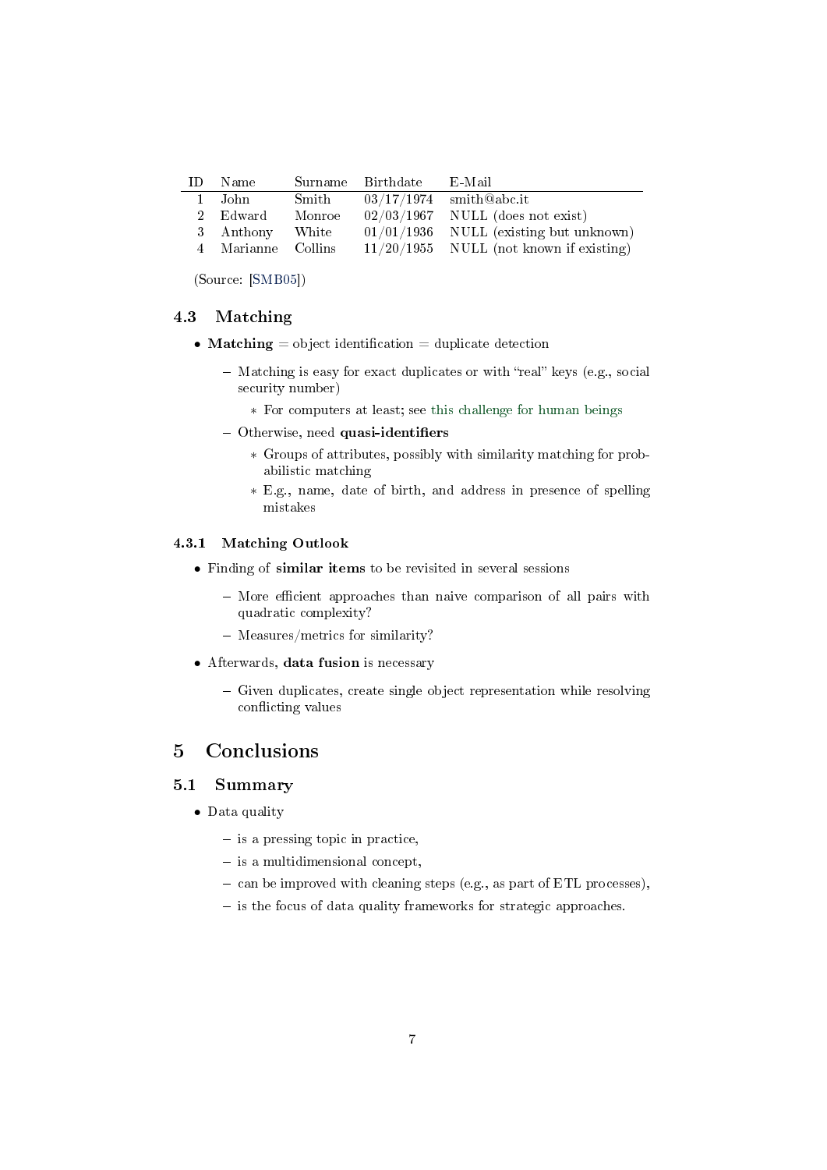| TD. | – Name             |        | Surname Birthdate | - E-Mail                                  |
|-----|--------------------|--------|-------------------|-------------------------------------------|
|     | 1 John             | Smith  |                   | $03/17/1974$ smith@abc.it                 |
|     | 2 Edward           | Monroe |                   | $02/03/1967$ NULL (does not exist)        |
|     | 3 Anthony          | White  |                   | $01/01/1936$ NULL (existing but unknown)  |
|     | 4 Marianne Collins |        |                   | $11/20/1955$ NULL (not known if existing) |

(Source: [\[SMB05\]](#page-7-7))

### 4.3 Matching

- Matching  $=$  object identification  $=$  duplicate detection
	- $-$  Matching is easy for exact duplicates or with "real" keys (e.g., social security number)
		- ∗ For computers at least; see [this challenge for human beings](https://flic.kr/p/5ELLbe)
	- $-$  Otherwise, need quasi-identifiers
		- ∗ Groups of attributes, possibly with similarity matching for probabilistic matching
		- ∗ E.g., name, date of birth, and address in presence of spelling mistakes

### 4.3.1 Matching Outlook

- Finding of similar items to be revisited in several sessions
	- More efficient approaches than naive comparison of all pairs with quadratic complexity?
	- $-$  Measures/metrics for similarity?
- Afterwards, data fusion is necessary
	- $-$  Given duplicates, create single object representation while resolving conflicting values

# <span id="page-6-0"></span>5 Conclusions

### 5.1 Summary

- Data quality
	- is a pressing topic in practice,
	- $-$  is a multidimensional concept,
	- can be improved with cleaning steps (e.g., as part of ETL processes),
	- is the focus of data quality frameworks for strategic approaches.